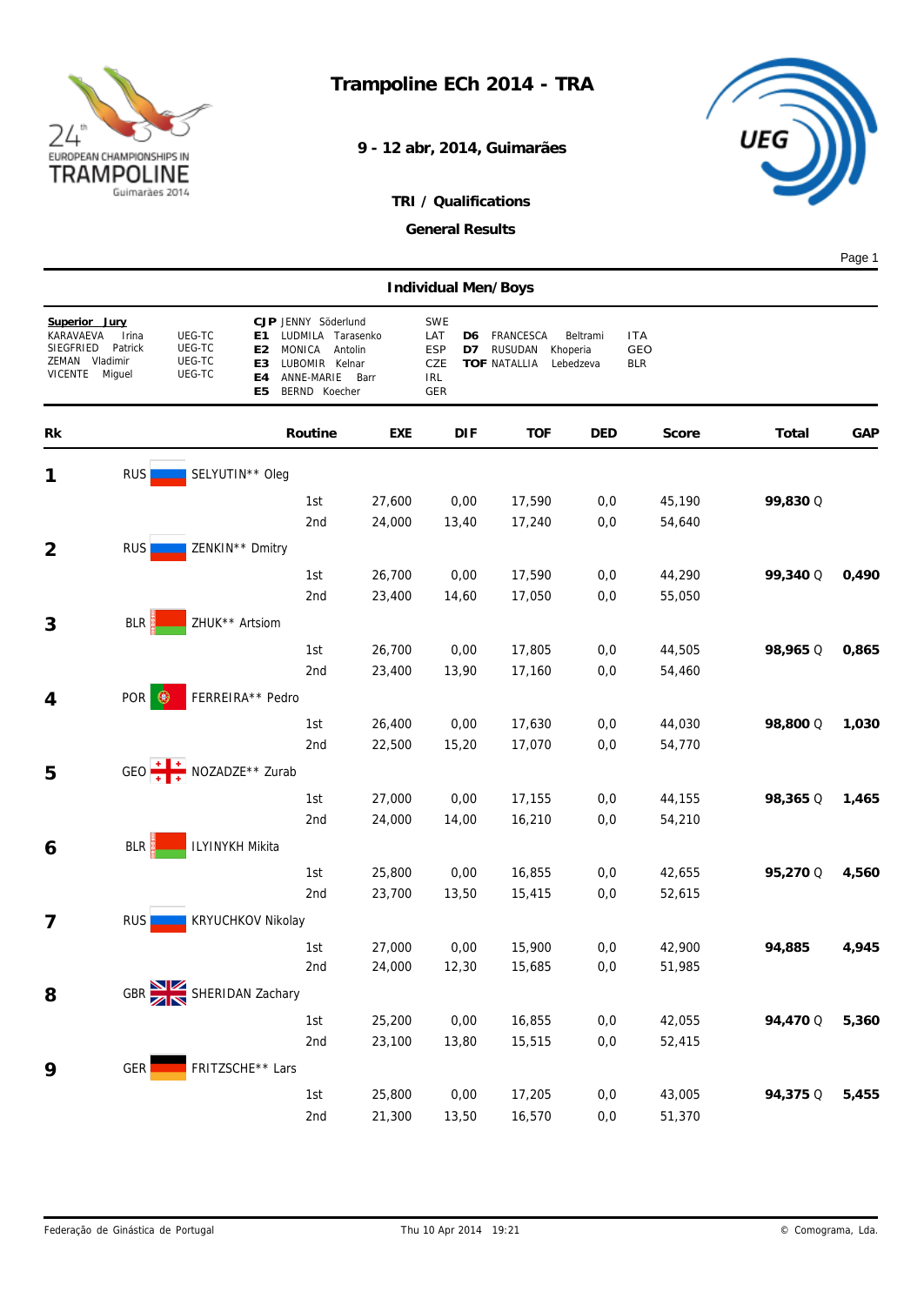

**9 - 12 abr, 2014, Guimarães**



## *TRI / Qualifications*

*General Results*

Page 1

|                                            |                                                         |                                      |                                                                                                                          |                                      | Individual Men/Boys                                       |                                                    |                                   |                                 |          |       |
|--------------------------------------------|---------------------------------------------------------|--------------------------------------|--------------------------------------------------------------------------------------------------------------------------|--------------------------------------|-----------------------------------------------------------|----------------------------------------------------|-----------------------------------|---------------------------------|----------|-------|
| KARAVAEVA<br>SIEGFRIED<br>ZEMAN<br>VICENTE | Superior Jury<br>Irina<br>Patrick<br>Vladimir<br>Miguel | UEG-TC<br>UEG-TC<br>UEG-TC<br>UEG-TC | CJP JENNY Söderlund<br>Ε1<br>MONICA<br>E2<br>LUBOMIR Kelnar<br>E3<br>ANNE-MARIE<br>E4<br>BERND Koecher<br>E <sub>5</sub> | LUDMILA Tarasenko<br>Antolin<br>Barr | <b>SWE</b><br>LAT<br>D6<br>ESP<br>D7<br>CZE<br>IRL<br>GER | FRANCESCA<br><b>RUSUDAN</b><br><b>TOF NATALLIA</b> | Beltrami<br>Khoperia<br>Lebedzeva | <b>ITA</b><br>GEO<br><b>BLR</b> |          |       |
| Rk                                         |                                                         |                                      | Routine                                                                                                                  | EXE                                  | <b>DIF</b>                                                | <b>TOF</b>                                         | DED                               | Score                           | Total    | GAP   |
| 1                                          | <b>RUS</b>                                              |                                      | SELYUTIN** Oleg                                                                                                          |                                      |                                                           |                                                    |                                   |                                 |          |       |
|                                            |                                                         |                                      | 1st                                                                                                                      | 27,600                               | 0,00                                                      | 17,590                                             | 0,0                               | 45,190                          | 99,830 Q |       |
|                                            |                                                         |                                      | 2nd                                                                                                                      | 24,000                               | 13,40                                                     | 17,240                                             | 0,0                               | 54,640                          |          |       |
| 2                                          | <b>RUS</b>                                              |                                      | ZENKIN** Dmitry                                                                                                          |                                      |                                                           |                                                    |                                   |                                 |          |       |
|                                            |                                                         |                                      | 1st                                                                                                                      | 26,700                               | 0,00                                                      | 17,590                                             | 0,0                               | 44,290                          | 99,340 Q | 0,490 |
|                                            |                                                         |                                      | 2nd                                                                                                                      | 23,400                               | 14,60                                                     | 17,050                                             | 0,0                               | 55,050                          |          |       |
| 3                                          | BLR                                                     |                                      | ZHUK** Artsiom                                                                                                           |                                      |                                                           |                                                    |                                   |                                 |          |       |
|                                            |                                                         |                                      | 1st                                                                                                                      | 26,700                               | 0,00                                                      | 17,805                                             | 0,0                               | 44,505                          | 98,965 Q | 0,865 |
|                                            |                                                         |                                      | 2nd                                                                                                                      | 23,400                               | 13,90                                                     | 17,160                                             | 0,0                               | 54,460                          |          |       |
| 4                                          | POR<br>$\circledast$                                    |                                      | FERREIRA** Pedro                                                                                                         |                                      |                                                           |                                                    |                                   |                                 |          |       |
|                                            |                                                         |                                      | 1st                                                                                                                      | 26,400                               | 0,00                                                      | 17,630                                             | 0,0                               | 44,030                          | 98,800 Q | 1,030 |
|                                            |                                                         |                                      | 2nd                                                                                                                      | 22,500                               | 15,20                                                     | 17,070                                             | 0,0                               | 54,770                          |          |       |
| 5                                          |                                                         |                                      | GEO $+$ $+$ $+$ NOZADZE** Zurab                                                                                          |                                      |                                                           |                                                    |                                   |                                 |          |       |
|                                            |                                                         |                                      | 1st                                                                                                                      | 27,000                               | 0,00                                                      | 17,155                                             | 0,0                               | 44,155                          | 98,365 Q | 1,465 |
|                                            |                                                         |                                      | 2nd                                                                                                                      | 24,000                               | 14,00                                                     | 16,210                                             | 0,0                               | 54,210                          |          |       |
| 6                                          | BLR                                                     |                                      | ILYINYKH Mikita                                                                                                          |                                      |                                                           |                                                    |                                   |                                 |          |       |
|                                            |                                                         |                                      | 1st                                                                                                                      | 25,800                               | 0,00                                                      | 16,855                                             | 0,0                               | 42,655                          | 95,270 Q | 4,560 |
|                                            |                                                         |                                      | 2nd                                                                                                                      | 23,700                               | 13,50                                                     | 15,415                                             | 0,0                               | 52,615                          |          |       |
| 7                                          | <b>RUS</b>                                              |                                      | <b>KRYUCHKOV Nikolay</b>                                                                                                 |                                      |                                                           |                                                    |                                   |                                 |          |       |
|                                            |                                                         |                                      | 1st                                                                                                                      | 27,000                               | 0,00                                                      | 15,900                                             | 0,0                               | 42,900                          | 94,885   | 4,945 |
|                                            |                                                         |                                      | 2nd                                                                                                                      | 24,000                               | 12,30                                                     | 15,685                                             | 0,0                               | 51,985                          |          |       |
| 8                                          |                                                         |                                      | GBR SHERIDAN Zachary                                                                                                     |                                      |                                                           |                                                    |                                   |                                 |          |       |
|                                            |                                                         |                                      | 1st                                                                                                                      | 25,200                               | 0,00                                                      | 16,855                                             | 0,0                               | 42,055                          | 94,470 Q | 5,360 |
|                                            |                                                         |                                      | 2nd                                                                                                                      | 23,100                               | 13,80                                                     | 15,515                                             | 0,0                               | 52,415                          |          |       |
| 9                                          | <b>GER</b>                                              |                                      | FRITZSCHE** Lars                                                                                                         |                                      |                                                           |                                                    |                                   |                                 |          |       |
|                                            |                                                         |                                      | 1st                                                                                                                      | 25,800                               | 0,00                                                      | 17,205                                             | 0,0                               | 43,005                          | 94,375 Q | 5,455 |
|                                            |                                                         |                                      | 2 <sub>nd</sub>                                                                                                          | 21,300                               | 13,50                                                     | 16,570                                             | $0,0$                             | 51,370                          |          |       |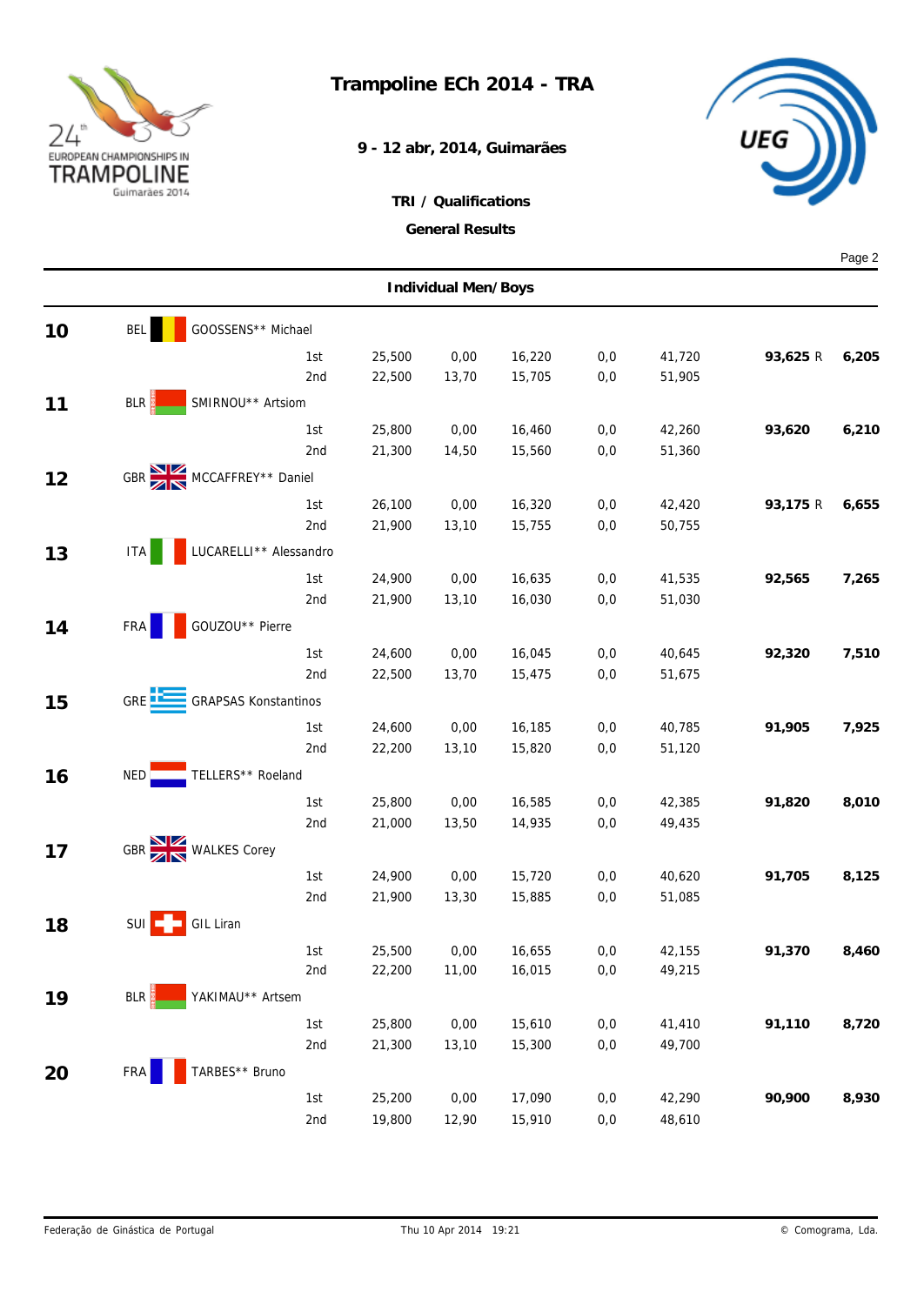

## **Trampoline ECh 2014 - TRA**

**9 - 12 abr, 2014, Guimarães**



|    |                                               |                        |                  |                     |                  |              |                  |          | Page 2 |
|----|-----------------------------------------------|------------------------|------------------|---------------------|------------------|--------------|------------------|----------|--------|
|    |                                               |                        |                  | Individual Men/Boys |                  |              |                  |          |        |
| 10 | GOOSSENS** Michael<br><b>BEL</b>              |                        |                  |                     |                  |              |                  |          |        |
|    |                                               | 1st                    | 25,500           | 0,00                | 16,220           | 0,0          | 41,720           | 93,625 R | 6,205  |
|    |                                               | 2nd                    | 22,500           | 13,70               | 15,705           | 0,0          | 51,905           |          |        |
| 11 | BLR<br>SMIRNOU** Artsiom                      |                        |                  |                     |                  |              |                  |          |        |
|    |                                               | 1st                    | 25,800           | 0,00                | 16,460           | 0,0          | 42,260           | 93,620   | 6,210  |
|    |                                               | 2nd                    | 21,300           | 14,50               | 15,560           | 0,0          | 51,360           |          |        |
| 12 | GBR MCCAFFREY** Daniel                        |                        |                  |                     |                  |              |                  |          |        |
|    |                                               | 1st                    | 26,100           | 0,00                | 16,320           | 0,0          | 42,420           | 93,175 R | 6,655  |
|    |                                               | 2nd                    | 21,900           | 13,10               | 15,755           | 0,0          | 50,755           |          |        |
| 13 | <b>ITA</b>                                    | LUCARELLI** Alessandro |                  |                     |                  |              |                  |          |        |
|    |                                               | 1st                    | 24,900           | 0,00                | 16,635           | 0,0          | 41,535           | 92,565   | 7,265  |
|    |                                               | 2nd                    | 21,900           | 13,10               | 16,030           | 0,0          | 51,030           |          |        |
| 14 | GOUZOU** Pierre<br><b>FRA</b>                 |                        |                  |                     |                  |              |                  |          |        |
|    |                                               | 1st                    | 24,600           | 0,00                | 16,045           | 0,0          | 40,645           | 92,320   | 7,510  |
|    |                                               | 2nd                    | 22,500           | 13,70               | 15,475           | 0,0          | 51,675           |          |        |
| 15 | GRE <b>EXE</b><br><b>GRAPSAS Konstantinos</b> |                        |                  |                     |                  |              |                  |          |        |
|    |                                               | 1st                    | 24,600           | 0,00                | 16,185           | 0,0          | 40,785           | 91,905   | 7,925  |
|    |                                               | 2nd                    | 22,200           | 13,10               | 15,820           | 0,0          | 51,120           |          |        |
| 16 | TELLERS** Roeland<br>NED                      |                        |                  |                     |                  |              |                  |          |        |
|    |                                               |                        |                  | 0,00                |                  |              |                  | 91,820   | 8,010  |
|    |                                               | 1st<br>2nd             | 25,800<br>21,000 | 13,50               | 16,585<br>14,935 | 0,0<br>0,0   | 42,385<br>49,435 |          |        |
|    | GBR WALKES Corey                              |                        |                  |                     |                  |              |                  |          |        |
| 17 |                                               |                        |                  |                     |                  |              |                  |          |        |
|    |                                               | 1st<br>2nd             | 24,900<br>21,900 | 0,00<br>13,30       | 15,720<br>15,885 | 0,0<br>0,0   | 40,620<br>51,085 | 91,705   | 8,125  |
|    |                                               |                        |                  |                     |                  |              |                  |          |        |
| 18 | GIL Liran<br>SUI                              |                        |                  |                     |                  |              |                  |          |        |
|    |                                               | 1st<br>2nd             | 25,500<br>22,200 | 0,00<br>11,00       | 16,655<br>16,015 | 0,0<br>$0,0$ | 42,155<br>49,215 | 91,370   | 8,460  |
|    |                                               |                        |                  |                     |                  |              |                  |          |        |
| 19 | YAKIMAU** Artsem<br>BLR                       |                        |                  |                     |                  |              |                  |          |        |
|    |                                               | 1st                    | 25,800           | 0,00                | 15,610           | 0,0          | 41,410           | 91,110   | 8,720  |
|    |                                               | 2nd                    | 21,300           | 13,10               | 15,300           | $0,0$        | 49,700           |          |        |
| 20 | TARBES** Bruno<br>FRA                         |                        |                  |                     |                  |              |                  |          |        |
|    |                                               | 1st                    | 25,200           | 0,00                | 17,090           | 0,0          | 42,290           | 90,900   | 8,930  |
|    |                                               | 2nd                    | 19,800           | 12,90               | 15,910           | $0,0$        | 48,610           |          |        |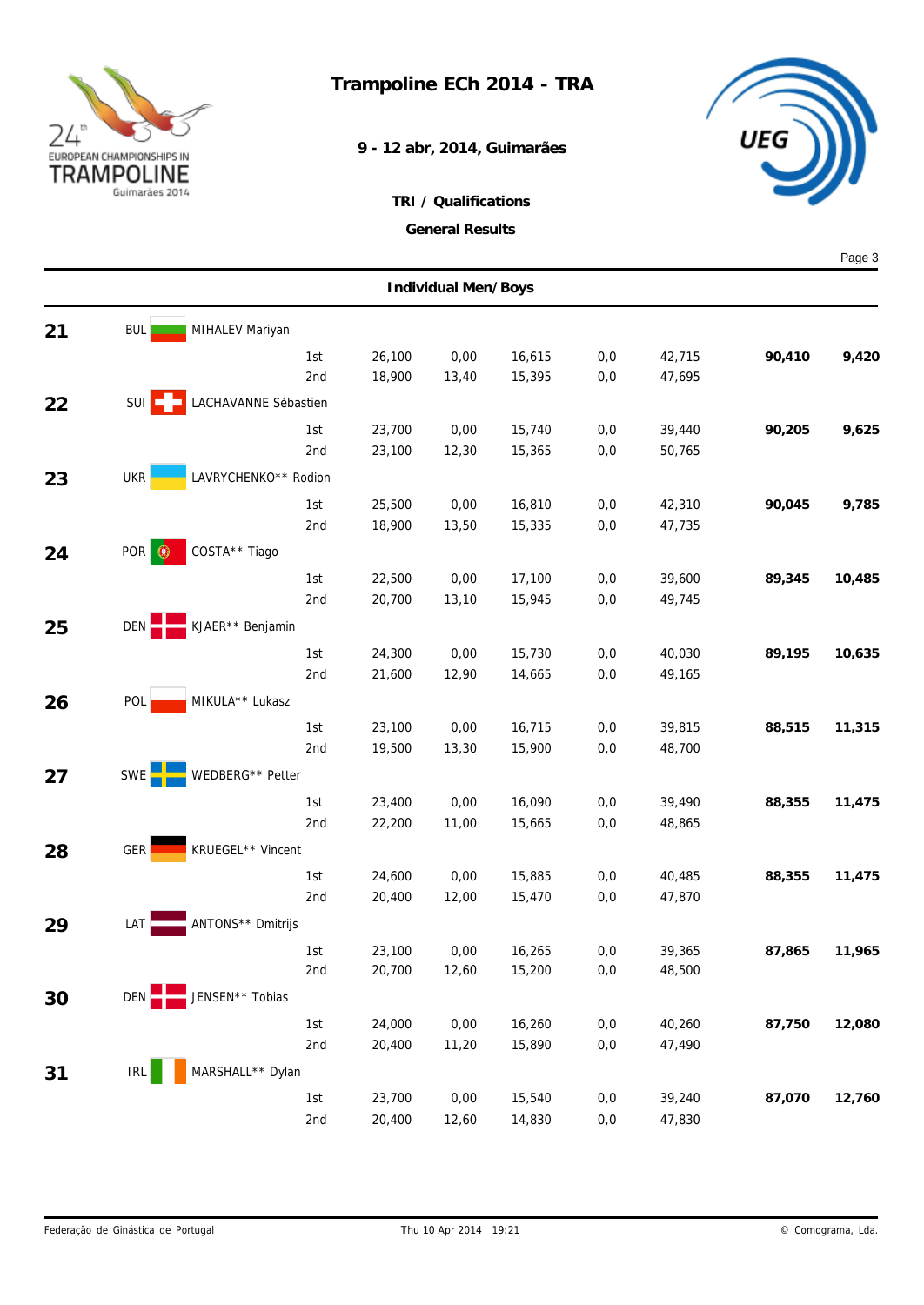

**9 - 12 abr, 2014, Guimarães**



|    |                      |                      |            |                  |               |                  |            |        |        | Page 3 |  |  |
|----|----------------------|----------------------|------------|------------------|---------------|------------------|------------|--------|--------|--------|--|--|
|    | Individual Men/Boys  |                      |            |                  |               |                  |            |        |        |        |  |  |
| 21 | <b>BUL</b>           | MIHALEV Mariyan      |            |                  |               |                  |            |        |        |        |  |  |
|    |                      |                      | 1st        | 26,100           | 0,00          | 16,615           | 0,0        | 42,715 | 90,410 | 9,420  |  |  |
|    |                      |                      | 2nd        | 18,900           | 13,40         | 15,395           | 0,0        | 47,695 |        |        |  |  |
| 22 | $SUI$ $\Box$         | LACHAVANNE Sébastien |            |                  |               |                  |            |        |        |        |  |  |
|    |                      |                      | 1st        | 23,700           | 0,00          | 15,740           | 0,0        | 39,440 | 90,205 | 9,625  |  |  |
|    |                      |                      | 2nd        | 23,100           | 12,30         | 15,365           | 0,0        | 50,765 |        |        |  |  |
| 23 | <b>UKR</b>           | LAVRYCHENKO** Rodion |            |                  |               |                  |            |        |        |        |  |  |
|    |                      |                      | 1st        | 25,500           | 0,00          | 16,810           | 0,0        | 42,310 | 90,045 | 9,785  |  |  |
|    |                      |                      | 2nd        | 18,900           | 13,50         | 15,335           | 0,0        | 47,735 |        |        |  |  |
| 24 | POR<br>$\circledast$ | COSTA** Tiago        |            |                  |               |                  |            |        |        |        |  |  |
|    |                      |                      | 1st        | 22,500           | 0,00          | 17,100           | 0,0        | 39,600 | 89,345 | 10,485 |  |  |
|    |                      |                      | 2nd        | 20,700           | 13,10         | 15,945           | 0,0        | 49,745 |        |        |  |  |
| 25 | DEN                  | KJAER** Benjamin     |            |                  |               |                  |            |        |        |        |  |  |
|    |                      |                      |            |                  |               |                  |            | 40,030 | 89,195 | 10,635 |  |  |
|    |                      |                      | 1st<br>2nd | 24,300<br>21,600 | 0,00<br>12,90 | 15,730<br>14,665 | 0,0<br>0,0 | 49,165 |        |        |  |  |
|    |                      | MIKULA** Lukasz      |            |                  |               |                  |            |        |        |        |  |  |
| 26 | POL                  |                      |            |                  |               |                  |            |        |        |        |  |  |
|    |                      |                      | 1st        | 23,100           | 0,00          | 16,715           | 0,0        | 39,815 | 88,515 | 11,315 |  |  |
|    |                      |                      | 2nd        | 19,500           | 13,30         | 15,900           | 0,0        | 48,700 |        |        |  |  |
| 27 | <b>SWE</b>           | WEDBERG** Petter     |            |                  |               |                  |            |        |        |        |  |  |
|    |                      |                      | 1st        | 23,400           | 0,00          | 16,090           | 0,0        | 39,490 | 88,355 | 11,475 |  |  |
|    |                      |                      | 2nd        | 22,200           | 11,00         | 15,665           | 0,0        | 48,865 |        |        |  |  |
| 28 | GER                  | KRUEGEL** Vincent    |            |                  |               |                  |            |        |        |        |  |  |
|    |                      |                      | 1st        | 24,600           | 0,00          | 15,885           | 0,0        | 40,485 | 88,355 | 11,475 |  |  |
|    |                      |                      | 2nd        | 20,400           | 12,00         | 15,470           | 0,0        | 47,870 |        |        |  |  |
| 29 | LAT                  | ANTONS** Dmitrijs    |            |                  |               |                  |            |        |        |        |  |  |
|    |                      |                      | 1st        | 23,100           | 0,00          | 16,265           | 0,0        | 39,365 | 87,865 | 11,965 |  |  |
|    |                      |                      | 2nd        | 20,700           | 12,60         | 15,200           | $0,0$      | 48,500 |        |        |  |  |
| 30 | DEN                  | JENSEN** Tobias      |            |                  |               |                  |            |        |        |        |  |  |
|    |                      |                      | 1st        | 24,000           | 0,00          | 16,260           | 0,0        | 40,260 | 87,750 | 12,080 |  |  |
|    |                      |                      | 2nd        | 20,400           | 11,20         | 15,890           | $0,0$      | 47,490 |        |        |  |  |
| 31 | IRL                  | MARSHALL** Dylan     |            |                  |               |                  |            |        |        |        |  |  |
|    |                      |                      | 1st        | 23,700           | 0,00          | 15,540           | 0,0        | 39,240 | 87,070 | 12,760 |  |  |
|    |                      |                      | 2nd        | 20,400           | 12,60         | 14,830           | $0,0$      | 47,830 |        |        |  |  |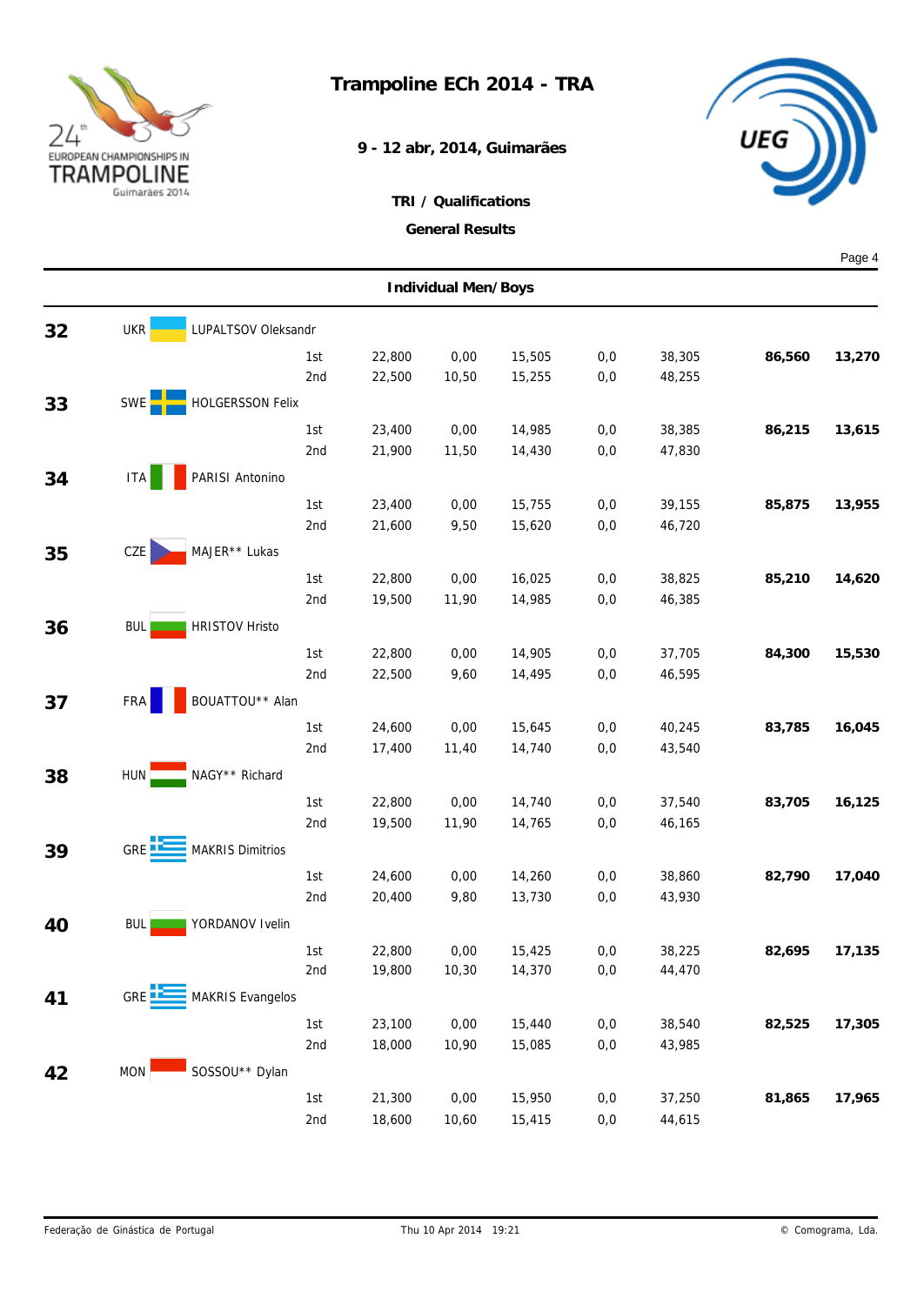

## **Trampoline ECh 2014 - TRA**

**9 - 12 abr, 2014, Guimarães**



|    |                     |                         |                  |               |                  |            |                  |        | Page 4 |  |  |
|----|---------------------|-------------------------|------------------|---------------|------------------|------------|------------------|--------|--------|--|--|
|    | Individual Men/Boys |                         |                  |               |                  |            |                  |        |        |  |  |
| 32 | <b>UKR</b>          | LUPALTSOV Oleksandr     |                  |               |                  |            |                  |        |        |  |  |
|    |                     | 1st                     | 22,800           | 0,00          | 15,505           | 0,0        | 38,305           | 86,560 | 13,270 |  |  |
|    |                     | 2nd                     | 22,500           | 10,50         | 15,255           | 0,0        | 48,255           |        |        |  |  |
| 33 | SWE                 | <b>HOLGERSSON Felix</b> |                  |               |                  |            |                  |        |        |  |  |
|    |                     | 1st                     | 23,400           | 0,00          | 14,985           | 0,0        | 38,385           | 86,215 | 13,615 |  |  |
|    |                     | 2nd                     | 21,900           | 11,50         | 14,430           | 0,0        | 47,830           |        |        |  |  |
| 34 | ITA                 | PARISI Antonino         |                  |               |                  |            |                  |        |        |  |  |
|    |                     | 1st                     | 23,400           | 0,00          | 15,755           | 0,0        | 39,155           | 85,875 | 13,955 |  |  |
|    |                     | 2nd                     | 21,600           | 9,50          | 15,620           | 0,0        | 46,720           |        |        |  |  |
| 35 | CZE                 | MAJER** Lukas           |                  |               |                  |            |                  |        |        |  |  |
|    |                     | 1st                     | 22,800           | 0,00          | 16,025           | 0,0        | 38,825           | 85,210 | 14,620 |  |  |
|    |                     | 2nd                     | 19,500           | 11,90         | 14,985           | 0,0        | 46,385           |        |        |  |  |
| 36 | <b>BUL</b>          | <b>HRISTOV Hristo</b>   |                  |               |                  |            |                  |        |        |  |  |
|    |                     | 1st                     | 22,800           | 0,00          | 14,905           | 0,0        | 37,705           | 84,300 | 15,530 |  |  |
|    |                     | 2nd                     | 22,500           | 9,60          | 14,495           | 0,0        | 46,595           |        |        |  |  |
| 37 | <b>FRA</b>          | BOUATTOU** Alan         |                  |               |                  |            |                  |        |        |  |  |
|    |                     |                         |                  |               |                  |            |                  |        |        |  |  |
|    |                     | 1st<br>2nd              | 24,600<br>17,400 | 0,00<br>11,40 | 15,645<br>14,740 | 0,0<br>0,0 | 40,245<br>43,540 | 83,785 | 16,045 |  |  |
|    |                     | NAGY** Richard          |                  |               |                  |            |                  |        |        |  |  |
| 38 | HUN .               |                         |                  |               |                  |            |                  |        |        |  |  |
|    |                     | 1st<br>2nd              | 22,800<br>19,500 | 0,00<br>11,90 | 14,740<br>14,765 | 0,0<br>0,0 | 37,540<br>46,165 | 83,705 | 16,125 |  |  |
|    |                     |                         |                  |               |                  |            |                  |        |        |  |  |
| 39 | GRE <b>LE</b>       | <b>MAKRIS Dimitrios</b> |                  |               |                  |            |                  |        |        |  |  |
|    |                     | 1st                     | 24,600           | 0,00          | 14,260           | 0,0        | 38,860           | 82,790 | 17,040 |  |  |
|    |                     | 2nd                     | 20,400           | 9,80          | 13,730           | 0,0        | 43,930           |        |        |  |  |
| 40 | <b>BUL</b>          | YORDANOV Ivelin         |                  |               |                  |            |                  |        |        |  |  |
|    |                     | 1st                     | 22,800           | 0,00          | 15,425           | $0,0$      | 38,225           | 82,695 | 17,135 |  |  |
|    |                     | 2nd                     | 19,800           | 10,30         | 14,370           | $0,0$      | 44,470           |        |        |  |  |
| 41 | GRE <sup>1</sup>    | <b>MAKRIS Evangelos</b> |                  |               |                  |            |                  |        |        |  |  |
|    |                     | 1st                     | 23,100           | 0,00          | 15,440           | 0,0        | 38,540           | 82,525 | 17,305 |  |  |
|    |                     | 2nd                     | 18,000           | 10,90         | 15,085           | $0,0$      | 43,985           |        |        |  |  |
| 42 | <b>MON</b>          | SOSSOU** Dylan          |                  |               |                  |            |                  |        |        |  |  |
|    |                     | 1st                     | 21,300           | $0,\!00$      | 15,950           | 0,0        | 37,250           | 81,865 | 17,965 |  |  |
|    |                     | 2nd                     | 18,600           | 10,60         | 15,415           | $0,0$      | 44,615           |        |        |  |  |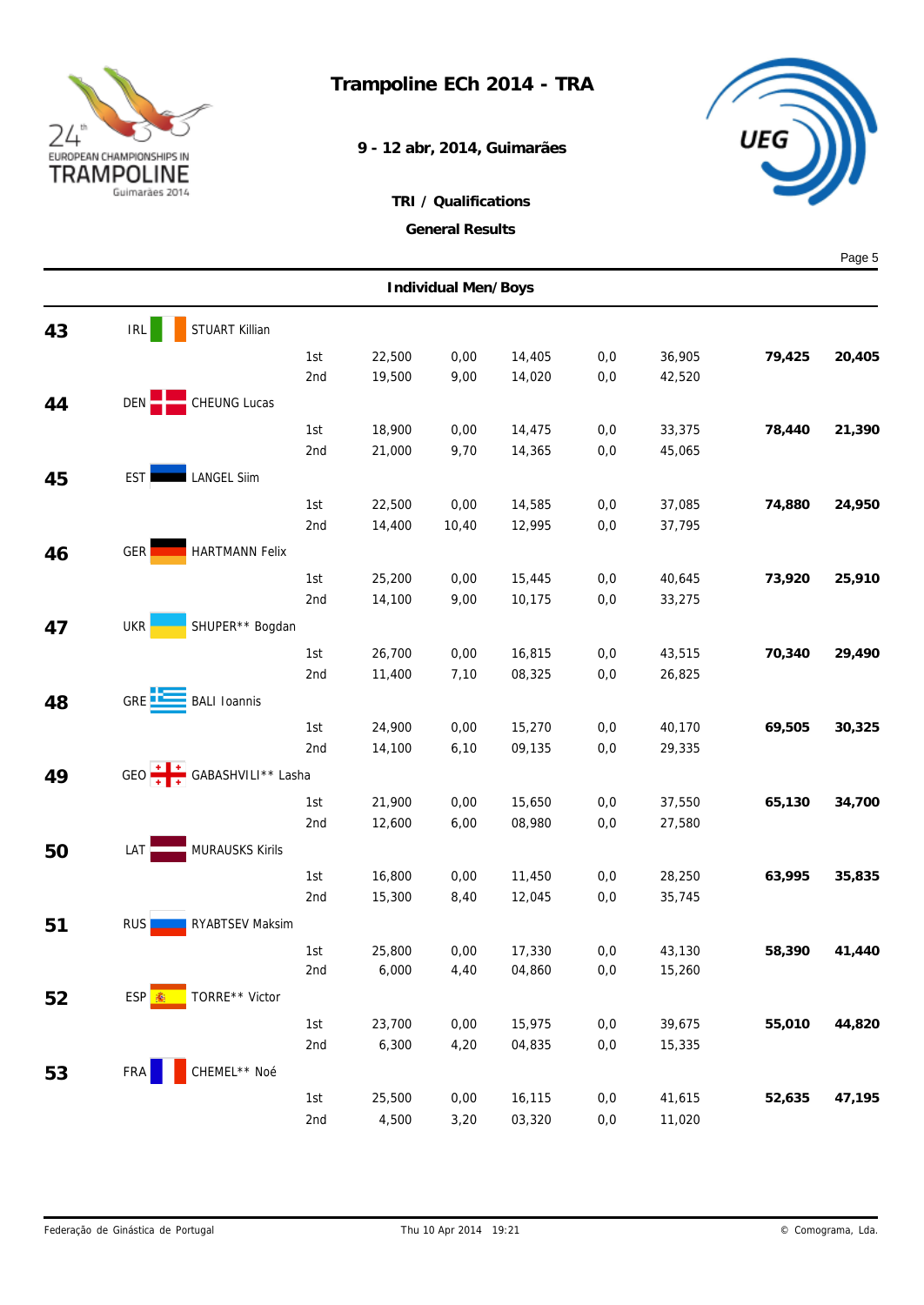

**9 - 12 abr, 2014, Guimarães**



|    |                     |                              |                  |              |                  |            |                  |        | Page 5 |  |  |
|----|---------------------|------------------------------|------------------|--------------|------------------|------------|------------------|--------|--------|--|--|
|    | Individual Men/Boys |                              |                  |              |                  |            |                  |        |        |  |  |
| 43 | IRL                 | STUART Killian               |                  |              |                  |            |                  |        |        |  |  |
|    |                     | 1st                          | 22,500           | 0,00         | 14,405           | 0,0        | 36,905           | 79,425 | 20,405 |  |  |
|    |                     | 2nd                          | 19,500           | 9,00         | 14,020           | 0,0        | 42,520           |        |        |  |  |
| 44 | DEN                 | <b>CHEUNG Lucas</b>          |                  |              |                  |            |                  |        |        |  |  |
|    |                     | 1st                          | 18,900           | 0,00         | 14,475           | 0,0        | 33,375           | 78,440 | 21,390 |  |  |
|    |                     | 2nd                          | 21,000           | 9,70         | 14,365           | 0,0        | 45,065           |        |        |  |  |
| 45 | <b>EST</b>          | <b>LANGEL Siim</b>           |                  |              |                  |            |                  |        |        |  |  |
|    |                     | 1st                          | 22,500           | 0,00         | 14,585           | 0,0        | 37,085           | 74,880 | 24,950 |  |  |
|    |                     | 2nd                          | 14,400           | 10,40        | 12,995           | 0,0        | 37,795           |        |        |  |  |
| 46 | GER                 | <b>HARTMANN Felix</b>        |                  |              |                  |            |                  |        |        |  |  |
|    |                     | 1st                          | 25,200           | 0,00         | 15,445           | 0,0        | 40,645           | 73,920 | 25,910 |  |  |
|    |                     | 2nd                          | 14,100           | 9,00         | 10,175           | 0,0        | 33,275           |        |        |  |  |
| 47 | <b>UKR</b>          | SHUPER** Bogdan              |                  |              |                  |            |                  |        |        |  |  |
|    |                     |                              |                  |              |                  |            |                  |        |        |  |  |
|    |                     | 1st<br>2nd                   | 26,700<br>11,400 | 0,00<br>7,10 | 16,815<br>08,325 | 0,0<br>0,0 | 43,515<br>26,825 | 70,340 | 29,490 |  |  |
|    |                     |                              |                  |              |                  |            |                  |        |        |  |  |
| 48 | GRE <sup>12</sup>   | <b>BALI Ioannis</b>          |                  |              |                  |            |                  |        |        |  |  |
|    |                     | 1st                          | 24,900           | 0,00         | 15,270           | 0,0        | 40,170           | 69,505 | 30,325 |  |  |
|    |                     | 2nd                          | 14,100           | 6,10         | 09,135           | 0,0        | 29,335           |        |        |  |  |
| 49 |                     | GEO $+$ + GABASHVILI** Lasha |                  |              |                  |            |                  |        |        |  |  |
|    |                     | 1st                          | 21,900           | 0,00         | 15,650           | 0,0        | 37,550           | 65,130 | 34,700 |  |  |
|    |                     | 2nd                          | 12,600           | 6,00         | 08,980           | 0,0        | 27,580           |        |        |  |  |
| 50 | LAT                 | <b>MURAUSKS Kirils</b>       |                  |              |                  |            |                  |        |        |  |  |
|    |                     | 1st                          | 16,800           | 0,00         | 11,450           | 0,0        | 28,250           | 63,995 | 35,835 |  |  |
|    |                     | 2nd                          | 15,300           | 8,40         | 12,045           | 0,0        | 35,745           |        |        |  |  |
| 51 | RUS                 | RYABTSEV Maksim              |                  |              |                  |            |                  |        |        |  |  |
|    |                     | 1st                          | 25,800           | 0,00         | 17,330           | $0,0$      | 43,130           | 58,390 | 41,440 |  |  |
|    |                     | 2nd                          | 6,000            | 4,40         | 04,860           | 0,0        | 15,260           |        |        |  |  |
| 52 | ESP <sup>R</sup> 图  | TORRE** Victor               |                  |              |                  |            |                  |        |        |  |  |
|    |                     | 1st                          | 23,700           | 0,00         | 15,975           | 0,0        | 39,675           | 55,010 | 44,820 |  |  |
|    |                     | 2nd                          | 6,300            | 4,20         | 04,835           | $0,0$      | 15,335           |        |        |  |  |
| 53 | FRA                 | CHEMEL** Noé                 |                  |              |                  |            |                  |        |        |  |  |
|    |                     | 1st                          | 25,500           | 0,00         | 16,115           | 0,0        | 41,615           | 52,635 | 47,195 |  |  |
|    |                     | 2nd                          | 4,500            | 3,20         | 03,320           | $0,0$      | 11,020           |        |        |  |  |
|    |                     |                              |                  |              |                  |            |                  |        |        |  |  |